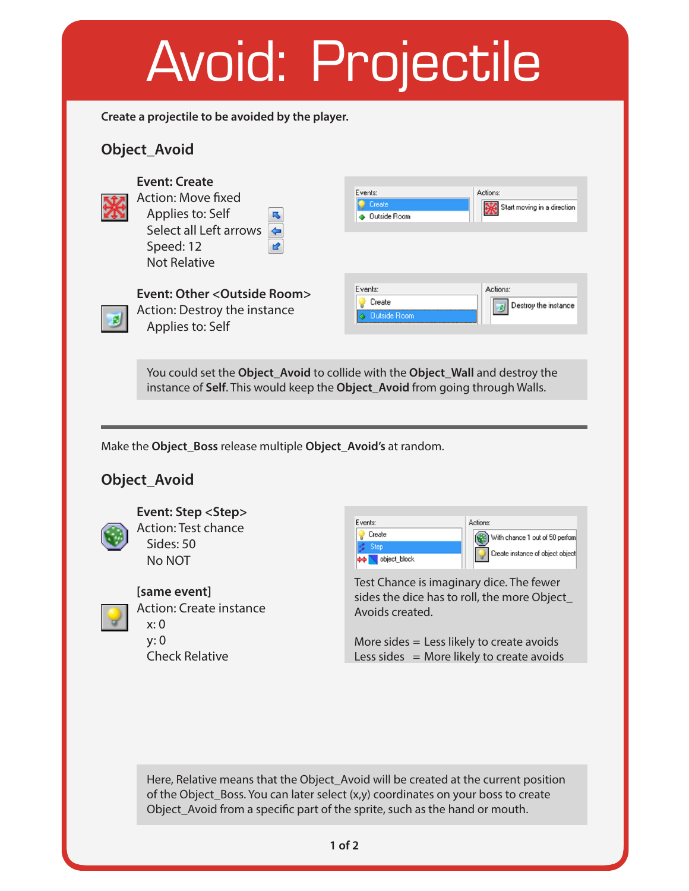

Here, Relative means that the Object\_Avoid will be created at the current position of the Object\_Boss. You can later select (x,y) coordinates on your boss to create Object\_Avoid from a specifc part of the sprite, such as the hand or mouth.